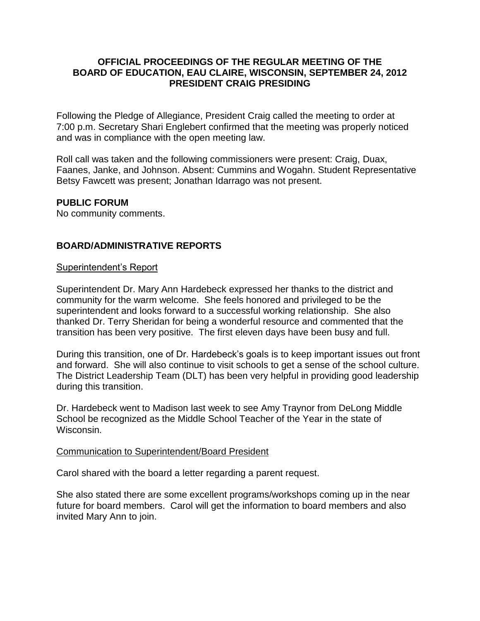#### **OFFICIAL PROCEEDINGS OF THE REGULAR MEETING OF THE BOARD OF EDUCATION, EAU CLAIRE, WISCONSIN, SEPTEMBER 24, 2012 PRESIDENT CRAIG PRESIDING**

Following the Pledge of Allegiance, President Craig called the meeting to order at 7:00 p.m. Secretary Shari Englebert confirmed that the meeting was properly noticed and was in compliance with the open meeting law.

Roll call was taken and the following commissioners were present: Craig, Duax, Faanes, Janke, and Johnson. Absent: Cummins and Wogahn. Student Representative Betsy Fawcett was present; Jonathan Idarrago was not present.

### **PUBLIC FORUM**

No community comments.

# **BOARD/ADMINISTRATIVE REPORTS**

#### Superintendent's Report

Superintendent Dr. Mary Ann Hardebeck expressed her thanks to the district and community for the warm welcome. She feels honored and privileged to be the superintendent and looks forward to a successful working relationship. She also thanked Dr. Terry Sheridan for being a wonderful resource and commented that the transition has been very positive. The first eleven days have been busy and full.

During this transition, one of Dr. Hardebeck's goals is to keep important issues out front and forward. She will also continue to visit schools to get a sense of the school culture. The District Leadership Team (DLT) has been very helpful in providing good leadership during this transition.

Dr. Hardebeck went to Madison last week to see Amy Traynor from DeLong Middle School be recognized as the Middle School Teacher of the Year in the state of Wisconsin.

#### Communication to Superintendent/Board President

Carol shared with the board a letter regarding a parent request.

She also stated there are some excellent programs/workshops coming up in the near future for board members. Carol will get the information to board members and also invited Mary Ann to join.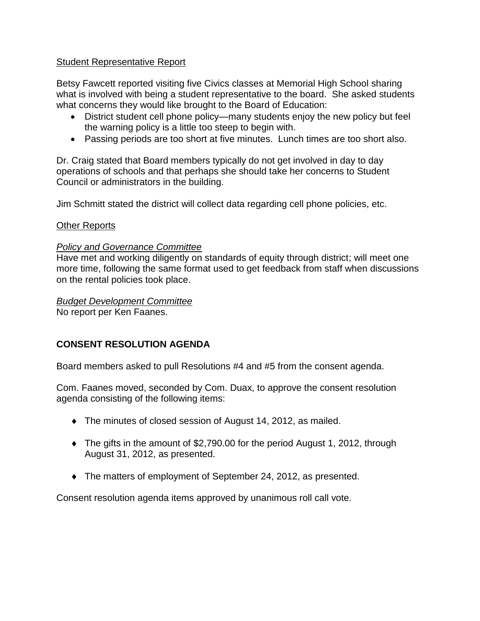# Student Representative Report

Betsy Fawcett reported visiting five Civics classes at Memorial High School sharing what is involved with being a student representative to the board. She asked students what concerns they would like brought to the Board of Education:

- District student cell phone policy—many students enjoy the new policy but feel the warning policy is a little too steep to begin with.
- Passing periods are too short at five minutes. Lunch times are too short also.

Dr. Craig stated that Board members typically do not get involved in day to day operations of schools and that perhaps she should take her concerns to Student Council or administrators in the building.

Jim Schmitt stated the district will collect data regarding cell phone policies, etc.

### Other Reports

### *Policy and Governance Committee*

Have met and working diligently on standards of equity through district; will meet one more time, following the same format used to get feedback from staff when discussions on the rental policies took place.

### *Budget Development Committee*

No report per Ken Faanes.

# **CONSENT RESOLUTION AGENDA**

Board members asked to pull Resolutions #4 and #5 from the consent agenda.

Com. Faanes moved, seconded by Com. Duax, to approve the consent resolution agenda consisting of the following items:

- The minutes of closed session of August 14, 2012, as mailed.
- The gifts in the amount of \$2,790.00 for the period August 1, 2012, through August 31, 2012, as presented.
- The matters of employment of September 24, 2012, as presented.

Consent resolution agenda items approved by unanimous roll call vote.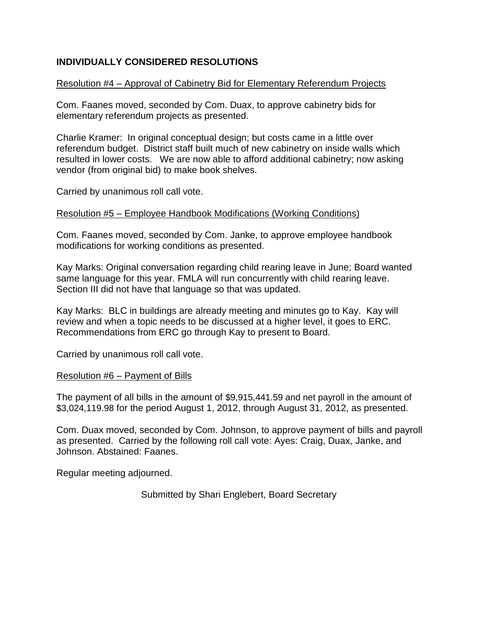# **INDIVIDUALLY CONSIDERED RESOLUTIONS**

### Resolution #4 – Approval of Cabinetry Bid for Elementary Referendum Projects

Com. Faanes moved, seconded by Com. Duax, to approve cabinetry bids for elementary referendum projects as presented.

Charlie Kramer: In original conceptual design; but costs came in a little over referendum budget. District staff built much of new cabinetry on inside walls which resulted in lower costs. We are now able to afford additional cabinetry; now asking vendor (from original bid) to make book shelves.

Carried by unanimous roll call vote.

#### Resolution #5 – Employee Handbook Modifications (Working Conditions)

Com. Faanes moved, seconded by Com. Janke, to approve employee handbook modifications for working conditions as presented.

Kay Marks: Original conversation regarding child rearing leave in June; Board wanted same language for this year. FMLA will run concurrently with child rearing leave. Section III did not have that language so that was updated.

Kay Marks: BLC in buildings are already meeting and minutes go to Kay. Kay will review and when a topic needs to be discussed at a higher level, it goes to ERC. Recommendations from ERC go through Kay to present to Board.

Carried by unanimous roll call vote.

#### Resolution #6 – Payment of Bills

The payment of all bills in the amount of \$9,915,441.59 and net payroll in the amount of \$3,024,119.98 for the period August 1, 2012, through August 31, 2012, as presented.

Com. Duax moved, seconded by Com. Johnson, to approve payment of bills and payroll as presented. Carried by the following roll call vote: Ayes: Craig, Duax, Janke, and Johnson. Abstained: Faanes.

Regular meeting adjourned.

Submitted by Shari Englebert, Board Secretary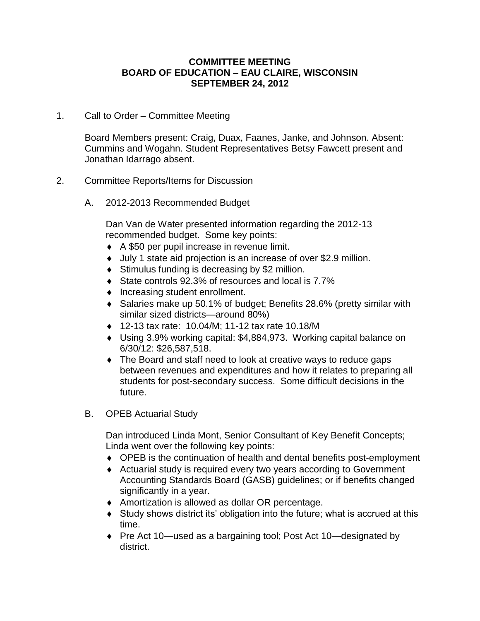#### **COMMITTEE MEETING BOARD OF EDUCATION – EAU CLAIRE, WISCONSIN SEPTEMBER 24, 2012**

1. Call to Order – Committee Meeting

Board Members present: Craig, Duax, Faanes, Janke, and Johnson. Absent: Cummins and Wogahn. Student Representatives Betsy Fawcett present and Jonathan Idarrago absent.

# 2. Committee Reports/Items for Discussion

A. 2012-2013 Recommended Budget

Dan Van de Water presented information regarding the 2012-13 recommended budget. Some key points:

- ◆ A \$50 per pupil increase in revenue limit.
- July 1 state aid projection is an increase of over \$2.9 million.
- ◆ Stimulus funding is decreasing by \$2 million.
- ◆ State controls 92.3% of resources and local is 7.7%
- Increasing student enrollment.
- ◆ Salaries make up 50.1% of budget; Benefits 28.6% (pretty similar with similar sized districts—around 80%)
- 12-13 tax rate: 10.04/M; 11-12 tax rate 10.18/M
- Using 3.9% working capital: \$4,884,973. Working capital balance on 6/30/12: \$26,587,518.
- The Board and staff need to look at creative ways to reduce gaps between revenues and expenditures and how it relates to preparing all students for post-secondary success. Some difficult decisions in the future.
- B. OPEB Actuarial Study

Dan introduced Linda Mont, Senior Consultant of Key Benefit Concepts; Linda went over the following key points:

- ◆ OPEB is the continuation of health and dental benefits post-employment
- Actuarial study is required every two years according to Government Accounting Standards Board (GASB) guidelines; or if benefits changed significantly in a year.
- Amortization is allowed as dollar OR percentage.
- Study shows district its' obligation into the future; what is accrued at this time.
- ◆ Pre Act 10—used as a bargaining tool; Post Act 10—designated by district.